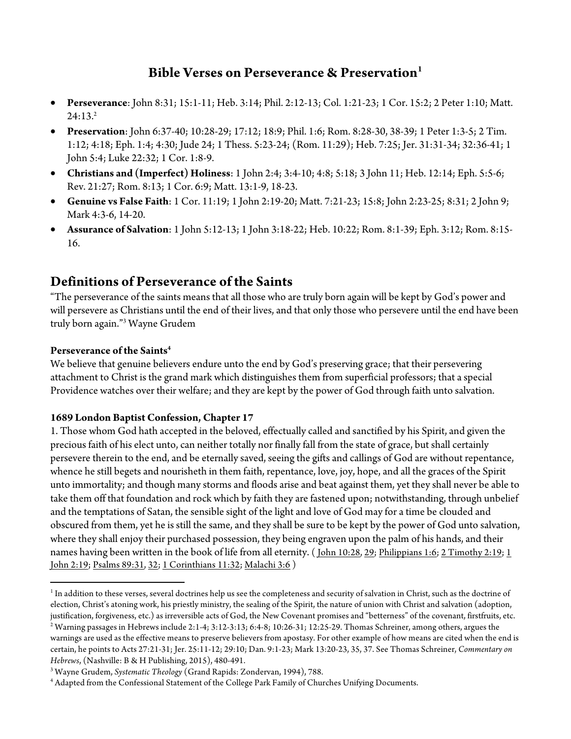## **Bible Verses on Perseverance & Preservation1**

- **Perseverance**: John 8:31; 15:1-11; Heb. 3:14; Phil. 2:12-13; Col. 1:21-23; 1 Cor. 15:2; 2 Peter 1:10; Matt.  $24:13.<sup>2</sup>$
- **Preservation**: John 6:37-40; 10:28-29; 17:12; 18:9; Phil. 1:6; Rom. 8:28-30, 38-39; 1 Peter 1:3-5; 2 Tim. 1:12; 4:18; Eph. 1:4; 4:30; Jude 24; 1 Thess. 5:23-24; (Rom. 11:29); Heb. 7:25; Jer. 31:31-34; 32:36-41; 1 John 5:4; Luke 22:32; 1 Cor. 1:8-9.
- **Christians and (Imperfect) Holiness**: 1 John 2:4; 3:4-10; 4:8; 5:18; 3 John 11; Heb. 12:14; Eph. 5:5-6; Rev. 21:27; Rom. 8:13; 1 Cor. 6:9; Matt. 13:1-9, 18-23.
- **Genuine vs False Faith**: 1 Cor. 11:19; 1 John 2:19-20; Matt. 7:21-23; 15:8; John 2:23-25; 8:31; 2 John 9; Mark 4:3-6, 14-20.
- **Assurance of Salvation**: 1 John 5:12-13; 1 John 3:18-22; Heb. 10:22; Rom. 8:1-39; Eph. 3:12; Rom. 8:15- 16.

## **Definitions of Perseverance of the Saints**

"The perseverance of the saints means that all those who are truly born again will be kept by God's power and will persevere as Christians until the end of their lives, and that only those who persevere until the end have been truly born again."3 Wayne Grudem

#### **Perseverance of the Saints4**

 

We believe that genuine believers endure unto the end by God's preserving grace; that their persevering attachment to Christ is the grand mark which distinguishes them from superficial professors; that a special Providence watches over their welfare; and they are kept by the power of God through faith unto salvation.

#### **1689 London Baptist Confession, Chapter 17**

1. Those whom God hath accepted in the beloved, effectually called and sanctified by his Spirit, and given the precious faith of his elect unto, can neither totally nor finally fall from the state of grace, but shall certainly persevere therein to the end, and be eternally saved, seeing the gifts and callings of God are without repentance, whence he still begets and nourisheth in them faith, repentance, love, joy, hope, and all the graces of the Spirit unto immortality; and though many storms and floods arise and beat against them, yet they shall never be able to take them off that foundation and rock which by faith they are fastened upon; notwithstanding, through unbelief and the temptations of Satan, the sensible sight of the light and love of God may for a time be clouded and obscured from them, yet he is still the same, and they shall be sure to be kept by the power of God unto salvation, where they shall enjoy their purchased possession, they being engraven upon the palm of his hands, and their names having been written in the book of life from all eternity. (*John 10:28, 29; Philippians 1:6; 2 Timothy 2:19; 1* John 2:19; Psalms 89:31, 32; 1 Corinthians 11:32; Malachi 3:6 )

<sup>&</sup>lt;sup>1</sup> In addition to these verses, several doctrines help us see the completeness and security of salvation in Christ, such as the doctrine of election, Christ's atoning work, his priestly ministry, the sealing of the Spirit, the nature of union with Christ and salvation (adoption, justification, forgiveness, etc.) as irreversible acts of God, the New Covenant promises and "betterness" of the covenant, firstfruits, etc.

<sup>&</sup>lt;sup>2</sup> Warning passages in Hebrews include 2:1-4; 3:12-3:13; 6:4-8; 10:26-31; 12:25-29. Thomas Schreiner, among others, argues the warnings are used as the effective means to preserve believers from apostasy. For other example of how means are cited when the end is certain, he points to Acts 27:21-31; Jer. 25:11-12; 29:10; Dan. 9:1-23; Mark 13:20-23, 35, 37. See Thomas Schreiner, *Commentary on Hebrews*, (Nashville: B & H Publishing, 2015), 480-491.

<sup>3</sup> Wayne Grudem, *Systematic Theology* (Grand Rapids: Zondervan, 1994), 788.

<sup>4</sup> Adapted from the Confessional Statement of the College Park Family of Churches Unifying Documents.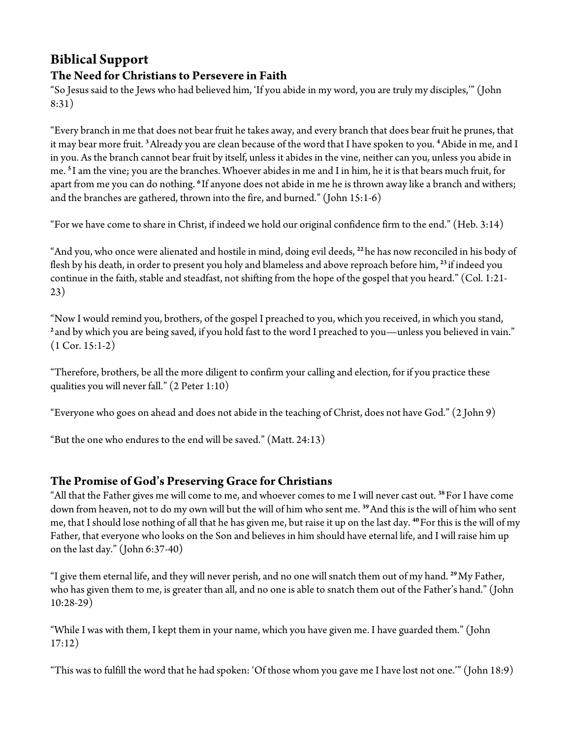# **Biblical Support**

### **The Need for Christians to Persevere in Faith**

"So Jesus said to the Jews who had believed him, 'If you abide in my word, you are truly my disciples,'" (John 8:31)

"Every branch in me that does not bear fruit he takes away, and every branch that does bear fruit he prunes, that it may bear more fruit. **<sup>3</sup>**Already you are clean because of the word that I have spoken to you. **<sup>4</sup>**Abide in me, and I in you. As the branch cannot bear fruit by itself, unless it abides in the vine, neither can you, unless you abide in me. **<sup>5</sup>** I am the vine; you are the branches. Whoever abides in me and I in him, he it is that bears much fruit, for apart from me you can do nothing. **<sup>6</sup>** If anyone does not abide in me he is thrown away like a branch and withers; and the branches are gathered, thrown into the fire, and burned." (John 15:1-6)

"For we have come to share in Christ, if indeed we hold our original confidence firm to the end." (Heb. 3:14)

"And you, who once were alienated and hostile in mind, doing evil deeds, **<sup>22</sup>** he has now reconciled in his body of flesh by his death, in order to present you holy and blameless and above reproach before him, **<sup>23</sup>** if indeed you continue in the faith, stable and steadfast, not shifting from the hope of the gospel that you heard." (Col. 1:21- 23)

"Now I would remind you, brothers, of the gospel I preached to you, which you received, in which you stand, <sup>2</sup> and by which you are being saved, if you hold fast to the word I preached to you—unless you believed in vain."  $(1$  Cor. 15:1-2)

"Therefore, brothers, be all the more diligent to confirm your calling and election, for if you practice these qualities you will never fall." (2 Peter 1:10)

"Everyone who goes on ahead and does not abide in the teaching of Christ, does not have God." (2 John 9)

"But the one who endures to the end will be saved." (Matt. 24:13)

### **The Promise of God's Preserving Grace for Christians**

"All that the Father gives me will come to me, and whoever comes to me I will never cast out. **<sup>38</sup>**For I have come down from heaven, not to do my own will but the will of him who sent me. **<sup>39</sup>**And this is the will of him who sent me, that I should lose nothing of all that he has given me, but raise it up on the last day. **<sup>40</sup>**For this is the will of my Father, that everyone who looks on the Son and believes in him should have eternal life, and I will raise him up on the last day." (John 6:37-40)

"I give them eternal life, and they will never perish, and no one will snatch them out of my hand. **<sup>29</sup>**My Father, who has given them to me, is greater than all, and no one is able to snatch them out of the Father's hand." (John 10:28-29)

"While I was with them, I kept them in your name, which you have given me. I have guarded them." (John 17:12)

"This was to fulfill the word that he had spoken: 'Of those whom you gave me I have lost not one.'" (John 18:9)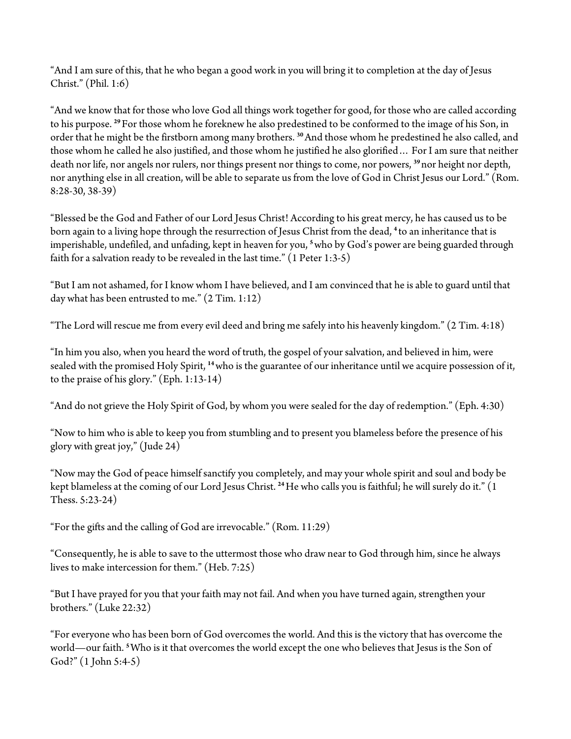"And I am sure of this, that he who began a good work in you will bring it to completion at the day of Jesus Christ." (Phil. 1:6)

"And we know that for those who love God all things work together for good, for those who are called according to his purpose. **<sup>29</sup>**For those whom he foreknew he also predestined to be conformed to the image of his Son, in order that he might be the firstborn among many brothers. **<sup>30</sup>**And those whom he predestined he also called, and those whom he called he also justified, and those whom he justified he also glorified… For I am sure that neither death nor life, nor angels nor rulers, nor things present nor things to come, nor powers, **<sup>39</sup>** nor height nor depth, nor anything else in all creation, will be able to separate us from the love of God in Christ Jesus our Lord." (Rom. 8:28-30, 38-39)

"Blessed be the God and Father of our Lord Jesus Christ! According to his great mercy, he has caused us to be born again to a living hope through the resurrection of Jesus Christ from the dead, **<sup>4</sup>** to an inheritance that is imperishable, undefiled, and unfading, kept in heaven for you, **<sup>5</sup>**who by God's power are being guarded through faith for a salvation ready to be revealed in the last time." (1 Peter 1:3-5)

"But I am not ashamed, for I know whom I have believed, and I am convinced that he is able to guard until that day what has been entrusted to me."  $(2 Tim. 1:12)$ 

"The Lord will rescue me from every evil deed and bring me safely into his heavenly kingdom." (2 Tim. 4:18)

"In him you also, when you heard the word of truth, the gospel of your salvation, and believed in him, were sealed with the promised Holy Spirit, **<sup>14</sup>**who is the guarantee of our inheritance until we acquire possession of it, to the praise of his glory." (Eph. 1:13-14)

"And do not grieve the Holy Spirit of God, by whom you were sealed for the day of redemption." (Eph. 4:30)

"Now to him who is able to keep you from stumbling and to present you blameless before the presence of his glory with great joy," (Jude 24)

"Now may the God of peace himself sanctify you completely, and may your whole spirit and soul and body be kept blameless at the coming of our Lord Jesus Christ. **<sup>24</sup>**He who calls you is faithful; he will surely do it." (1 Thess. 5:23-24)

"For the gifts and the calling of God are irrevocable." (Rom. 11:29)

"Consequently, he is able to save to the uttermost those who draw near to God through him, since he always lives to make intercession for them." (Heb. 7:25)

"But I have prayed for you that your faith may not fail. And when you have turned again, strengthen your brothers." (Luke 22:32)

"For everyone who has been born of God overcomes the world. And this is the victory that has overcome the world—our faith. **<sup>5</sup>**Who is it that overcomes the world except the one who believes that Jesus is the Son of God?" (1 John 5:4-5)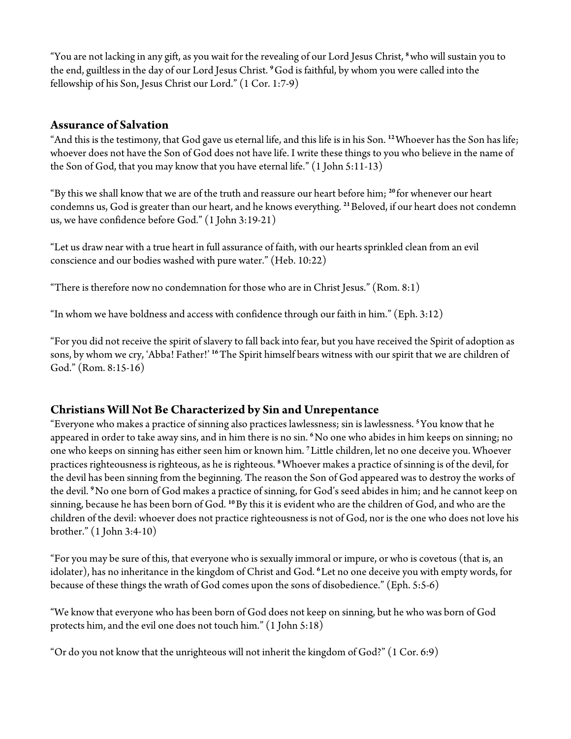"You are not lacking in any gift, as you wait for the revealing of our Lord Jesus Christ, **<sup>8</sup>**who will sustain you to the end, guiltless in the day of our Lord Jesus Christ. **<sup>9</sup>**God is faithful, by whom you were called into the fellowship of his Son, Jesus Christ our Lord." (1 Cor. 1:7-9)

#### **Assurance of Salvation**

"And this is the testimony, that God gave us eternal life, and this life is in his Son. **<sup>12</sup>**Whoever has the Son has life; whoever does not have the Son of God does not have life. I write these things to you who believe in the name of the Son of God, that you may know that you have eternal life." (1 John 5:11-13)

"By this we shall know that we are of the truth and reassure our heart before him; **<sup>20</sup>** for whenever our heart condemns us, God is greater than our heart, and he knows everything. **<sup>21</sup>**Beloved, if our heart does not condemn us, we have confidence before God." (1 John 3:19-21)

"Let us draw near with a true heart in full assurance of faith, with our hearts sprinkled clean from an evil conscience and our bodies washed with pure water." (Heb. 10:22)

"There is therefore now no condemnation for those who are in Christ Jesus." (Rom.  $8:1$ )

"In whom we have boldness and access with confidence through our faith in him." (Eph. 3:12)

"For you did not receive the spirit of slavery to fall back into fear, but you have received the Spirit of adoption as sons, by whom we cry, 'Abba! Father!' **<sup>16</sup>**The Spirit himself bears witness with our spirit that we are children of God." (Rom. 8:15-16)

### **Christians Will Not Be Characterized by Sin and Unrepentance**

"Everyone who makes a practice of sinning also practices lawlessness; sin is lawlessness. **<sup>5</sup>**You know that he appeared in order to take away sins, and in him there is no sin. **<sup>6</sup>**No one who abides in him keeps on sinning; no one who keeps on sinning has either seen him or known him. **<sup>7</sup>**Little children, let no one deceive you. Whoever practices righteousness is righteous, as he is righteous. **<sup>8</sup>**Whoever makes a practice of sinning is of the devil, for the devil has been sinning from the beginning. The reason the Son of God appeared was to destroy the works of the devil. **<sup>9</sup>**No one born of God makes a practice of sinning, for God's seed abides in him; and he cannot keep on sinning, because he has been born of God. **<sup>10</sup>**By this it is evident who are the children of God, and who are the children of the devil: whoever does not practice righteousness is not of God, nor is the one who does not love his brother." (1 John 3:4-10)

"For you may be sure of this, that everyone who is sexually immoral or impure, or who is covetous (that is, an idolater), has no inheritance in the kingdom of Christ and God. **<sup>6</sup>**Let no one deceive you with empty words, for because of these things the wrath of God comes upon the sons of disobedience." (Eph. 5:5-6)

"We know that everyone who has been born of God does not keep on sinning, but he who was born of God protects him, and the evil one does not touch him." (1 John 5:18)

"Or do you not know that the unrighteous will not inherit the kingdom of God?" (1 Cor. 6:9)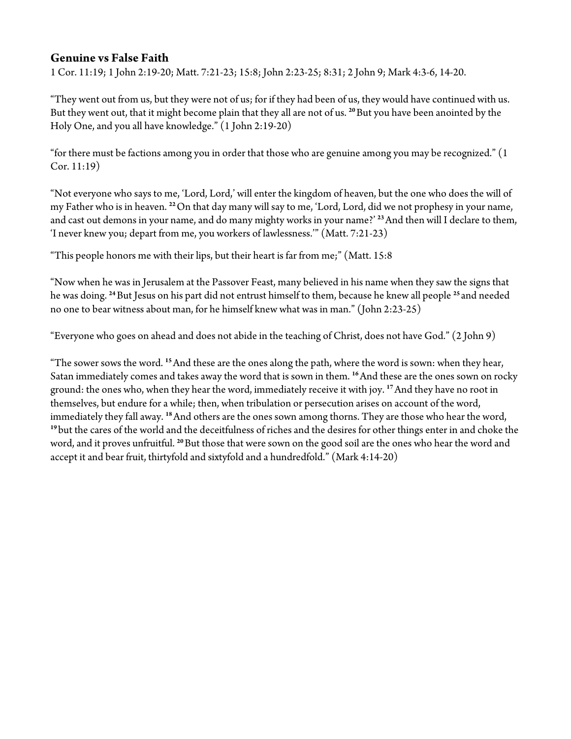### **Genuine vs False Faith**

1 Cor. 11:19; 1 John 2:19-20; Matt. 7:21-23; 15:8; John 2:23-25; 8:31; 2 John 9; Mark 4:3-6, 14-20.

"They went out from us, but they were not of us; for if they had been of us, they would have continued with us. But they went out, that it might become plain that they all are not of us. **<sup>20</sup>**But you have been anointed by the Holy One, and you all have knowledge." (1 John 2:19-20)

"for there must be factions among you in order that those who are genuine among you may be recognized." (1 Cor. 11:19)

"Not everyone who says to me, 'Lord, Lord,' will enter the kingdom of heaven, but the one who does the will of my Father who is in heaven. **<sup>22</sup>**On that day many will say to me, 'Lord, Lord, did we not prophesy in your name, and cast out demons in your name, and do many mighty works in your name?' **<sup>23</sup>**And then will I declare to them, 'I never knew you; depart from me, you workers of lawlessness.'" (Matt. 7:21-23)

"This people honors me with their lips, but their heart is far from me;" (Matt. 15:8

"Now when he was in Jerusalem at the Passover Feast, many believed in his name when they saw the signs that he was doing. **<sup>24</sup>**But Jesus on his part did not entrust himself to them, because he knew all people **<sup>25</sup>** and needed no one to bear witness about man, for he himself knew what was in man." (John 2:23-25)

"Everyone who goes on ahead and does not abide in the teaching of Christ, does not have God." (2 John 9)

"The sower sows the word. **<sup>15</sup>**And these are the ones along the path, where the word is sown: when they hear, Satan immediately comes and takes away the word that is sown in them. **<sup>16</sup>**And these are the ones sown on rocky ground: the ones who, when they hear the word, immediately receive it with joy. **<sup>17</sup>**And they have no root in themselves, but endure for a while; then, when tribulation or persecution arises on account of the word, immediately they fall away. **<sup>18</sup>**And others are the ones sown among thorns. They are those who hear the word, <sup>19</sup> but the cares of the world and the deceitfulness of riches and the desires for other things enter in and choke the word, and it proves unfruitful. **<sup>20</sup>**But those that were sown on the good soil are the ones who hear the word and accept it and bear fruit, thirtyfold and sixtyfold and a hundredfold." (Mark 4:14-20)